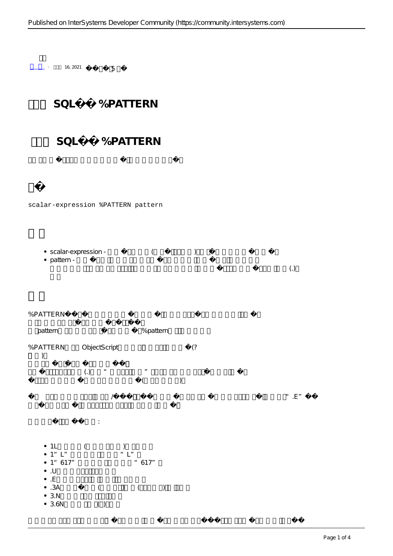

 $\cdot$  16, 2021 5

## scalar-expression %PATTERN pattern

| • scalar-expression - |  |  |
|-----------------------|--|--|
| $\bullet$ pattern -   |  |  |
|                       |  |  |

## % PATTERN

| pattern                                                                                                      | % pattern                                                                                                                               |                   |
|--------------------------------------------------------------------------------------------------------------|-----------------------------------------------------------------------------------------------------------------------------------------|-------------------|
| % PATTERN                                                                                                    | ObjectScript<br>(                                                                                                                       |                   |
|                                                                                                              | $\left(.\right)$<br>$\boldsymbol{H}$<br>$\boldsymbol{u}$<br>$\big)$<br>(                                                                |                   |
|                                                                                                              | $\sqrt{ }$                                                                                                                              | ", $\mathsf{E}$ " |
|                                                                                                              | ÷                                                                                                                                       |                   |
| $\bullet$ 1<br>$\bullet$ 1"<br>• 1:617"<br>$\bullet$ .<br>U<br>$\bullet$ . $\in$<br>•.3A<br>• 3.N<br>$-3.6N$ | $\overset{H}{\underset{\longleftarrow}{\sum}}$<br>"617"<br>$\left($<br>$\left( \frac{1}{2} \right)$<br>$\big)$<br>$\overline{a}$<br>( ) |                   |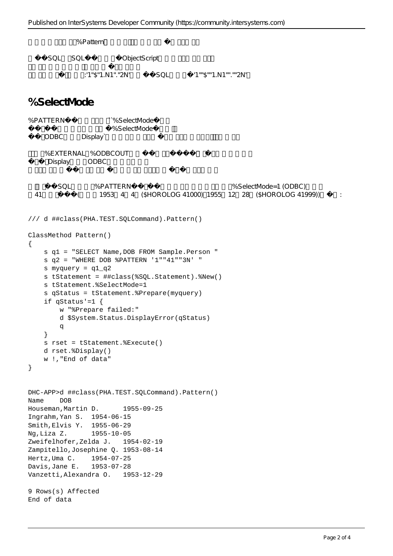```
% Pattern
    SQL SQL ObjectScript
             因此,美元金额的模式是:'1"$"1.N1"."2N'将在动态SQL中指定为'1""$""1.N1"".""2N'。
%SelectMode
%PATTERN ``%SelectMode
                    %SelectMode
   ODBC Display`
   %EXTERNAL %ODBCOUT
    Display ODBC
       SQL %PATTERN 30L %PATTERN
 41 (1953 4 4 ($HOROLOG 41000) 1955 12 28 ($HOROLOG 41999))
/// d ##class(PHA.TEST.SQLCommand).Pattern()
ClassMethod Pattern()
{
    s q1 = "SELECT Name,DOB FROM Sample.Person "
    s q2 = "WHERE DOB %PATTERN '1""41""3N' "
    s myquery = q1_q2
    s tStatement = ##class(%SQL.Statement).%New()
    s tStatement.%SelectMode=1
    s qStatus = tStatement.%Prepare(myquery)
    if qStatus'=1 {
        w "%Prepare failed:" 
        d $System.Status.DisplayError(qStatus) 
q
    }
    s rset = tStatement.%Execute()
    d rset.%Display()
    w !,"End of data"
}
DHC-APP>d ##class(PHA.TEST.SQLCommand).Pattern()
Name DOB
Houseman, Martin D. 1955-09-25
Ingrahm,Yan S. 1954-06-15
Smith,Elvis Y. 1955-06-29
Ng,Liza Z. 1955-10-05
Zweifelhofer,Zelda J. 1954-02-19
Zampitello,Josephine Q. 1953-08-14
Hertz,Uma C. 1954-07-25
Davis,Jane E. 1953-07-28
Vanzetti,Alexandra O. 1953-12-29
9 Rows(s) Affected
```
End of data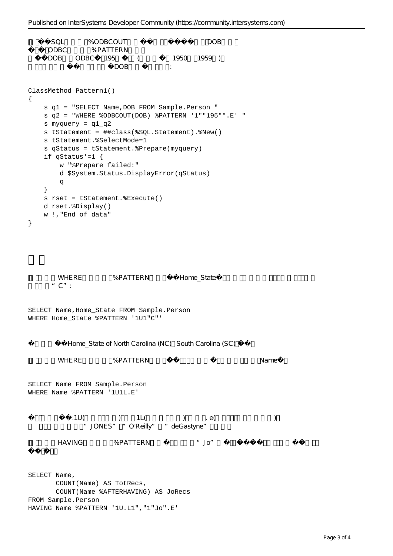```
SQL %ODBCOUT
ODBC %PATTERN
DOB ODBC 195 (1950 1959 )
                 DOBClassMethod Pattern1()
{
    s q1 = "SELECT Name,DOB FROM Sample.Person "
    s q2 = "WHERE %ODBCOUT(DOB) %PATTERN '1""195"".E' "
    s myquery = q1_q2
    s tStatement = ##class(%SQL.Statement).%New()
    s tStatement.%SelectMode=1
    s qStatus = tStatement.%Prepare(myquery)
    if qStatus'=1 {
       w "%Prepare failed:" 
       d $System.Status.DisplayError(qStatus) 
       q
    }
    s rset = tStatement.%Execute()
    d rset.%Display()
    w !,"End of data"
}
     WHERE %PATTERN Home State
     C":
SELECT Name,Home_State FROM Sample.Person
WHERE Home_State %PATTERN '1U1"C"'
        Home State of North Carolina (NC) South Carolina (SC)
      WHERE %PATTERN Name
SELECT Name FROM Sample.Person
WHERE Name %PATTERN '1U1L.E'
         1U( ) 1L( ) ee("JONES" "O'Reilly" "deGastyne"
      HAVING %PATTERN "Jo"
SELECT Name,
       COUNT(Name) AS TotRecs,
       COUNT(Name %AFTERHAVING) AS JoRecs
FROM Sample.Person
HAVING Name %PATTERN '1U.L1","1"Jo".E'
```

```
Page 3 of 4
```